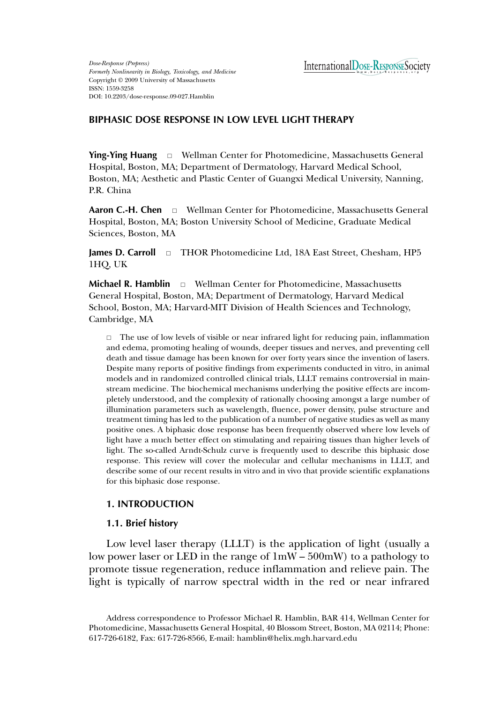*Dose-Response (Prepress) Formerly Nonlinearity in Biology, Toxicology, and Medicine* Copyright © 2009 University of Massachusetts ISSN: 1559-3258 DOI: 10.2203/dose-response.09-027.Hamblin

# **BIPHASIC DOSE RESPONSE IN LOW LEVEL LIGHT THERAPY**

**Ying-Ying Huang**  $\Box$  Wellman Center for Photomedicine, Massachusetts General Hospital, Boston, MA; Department of Dermatology, Harvard Medical School, Boston, MA; Aesthetic and Plastic Center of Guangxi Medical University, Nanning, P.R. China

**Aaron C.-H. Chen** - Wellman Center for Photomedicine, Massachusetts General Hospital, Boston, MA; Boston University School of Medicine, Graduate Medical Sciences, Boston, MA

**James D. Carroll** □ THOR Photomedicine Ltd, 18A East Street, Chesham, HP5 1HQ, UK

**Michael R. Hamblin**  $\Box$  Wellman Center for Photomedicine, Massachusetts General Hospital, Boston, MA; Department of Dermatology, Harvard Medical School, Boston, MA; Harvard-MIT Division of Health Sciences and Technology, Cambridge, MA

 $\Box$  The use of low levels of visible or near infrared light for reducing pain, inflammation and edema, promoting healing of wounds, deeper tissues and nerves, and preventing cell death and tissue damage has been known for over forty years since the invention of lasers. Despite many reports of positive findings from experiments conducted in vitro, in animal models and in randomized controlled clinical trials, LLLT remains controversial in mainstream medicine. The biochemical mechanisms underlying the positive effects are incompletely understood, and the complexity of rationally choosing amongst a large number of illumination parameters such as wavelength, fluence, power density, pulse structure and treatment timing has led to the publication of a number of negative studies as well as many positive ones. A biphasic dose response has been frequently observed where low levels of light have a much better effect on stimulating and repairing tissues than higher levels of light. The so-called Arndt-Schulz curve is frequently used to describe this biphasic dose response. This review will cover the molecular and cellular mechanisms in LLLT, and describe some of our recent results in vitro and in vivo that provide scientific explanations for this biphasic dose response.

## **1. INTRODUCTION**

## **1.1. Brief history**

Low level laser therapy (LLLT) is the application of light (usually a low power laser or LED in the range of 1mW – 500mW) to a pathology to promote tissue regeneration, reduce inflammation and relieve pain. The light is typically of narrow spectral width in the red or near infrared

Address correspondence to Professor Michael R. Hamblin, BAR 414, Wellman Center for Photomedicine, Massachusetts General Hospital, 40 Blossom Street, Boston, MA 02114; Phone: 617-726-6182, Fax: 617-726-8566, E-mail: hamblin@helix.mgh.harvard.edu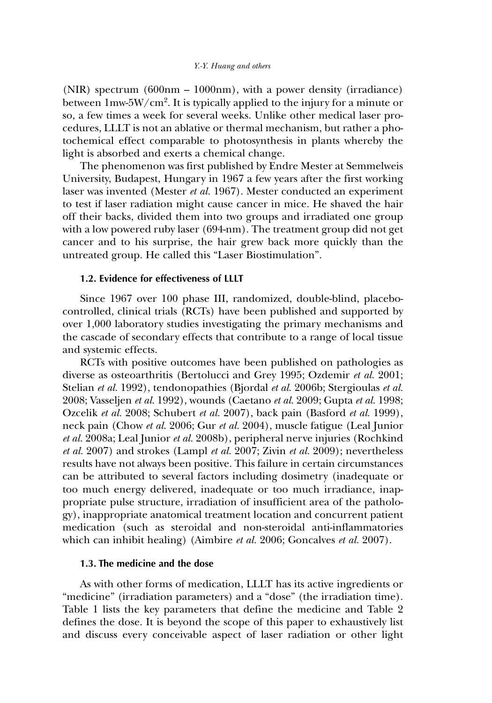(NIR) spectrum (600nm – 1000nm), with a power density (irradiance) between  $1\mathrm{mw}\text{-}5\mathrm{W/cm^2}.$  It is typically applied to the injury for a minute or so, a few times a week for several weeks. Unlike other medical laser procedures, LLLT is not an ablative or thermal mechanism, but rather a photochemical effect comparable to photosynthesis in plants whereby the light is absorbed and exerts a chemical change.

The phenomenon was first published by Endre Mester at Semmelweis University, Budapest, Hungary in 1967 a few years after the first working laser was invented (Mester *et al.* 1967). Mester conducted an experiment to test if laser radiation might cause cancer in mice. He shaved the hair off their backs, divided them into two groups and irradiated one group with a low powered ruby laser (694-nm). The treatment group did not get cancer and to his surprise, the hair grew back more quickly than the untreated group. He called this "Laser Biostimulation".

## **1.2. Evidence for effectiveness of LLLT**

Since 1967 over 100 phase III, randomized, double-blind, placebocontrolled, clinical trials (RCTs) have been published and supported by over 1,000 laboratory studies investigating the primary mechanisms and the cascade of secondary effects that contribute to a range of local tissue and systemic effects.

RCTs with positive outcomes have been published on pathologies as diverse as osteoarthritis (Bertolucci and Grey 1995; Ozdemir *et al.* 2001; Stelian *et al.* 1992), tendonopathies (Bjordal *et al.* 2006b; Stergioulas *et al.* 2008; Vasseljen *et al.* 1992), wounds (Caetano *et al.* 2009; Gupta *et al.* 1998; Ozcelik *et al.* 2008; Schubert *et al.* 2007), back pain (Basford *et al.* 1999), neck pain (Chow *et al.* 2006; Gur *et al.* 2004), muscle fatigue (Leal Junior *et al.* 2008a; Leal Junior *et al.* 2008b), peripheral nerve injuries (Rochkind *et al.* 2007) and strokes (Lampl *et al.* 2007; Zivin *et al.* 2009); nevertheless results have not always been positive. This failure in certain circumstances can be attributed to several factors including dosimetry (inadequate or too much energy delivered, inadequate or too much irradiance, inappropriate pulse structure, irradiation of insufficient area of the pathology), inappropriate anatomical treatment location and concurrent patient medication (such as steroidal and non-steroidal anti-inflammatories which can inhibit healing) (Aimbire *et al.* 2006; Goncalves *et al.* 2007).

## **1.3. The medicine and the dose**

As with other forms of medication, LLLT has its active ingredients or "medicine" (irradiation parameters) and a "dose" (the irradiation time). Table 1 lists the key parameters that define the medicine and Table 2 defines the dose. It is beyond the scope of this paper to exhaustively list and discuss every conceivable aspect of laser radiation or other light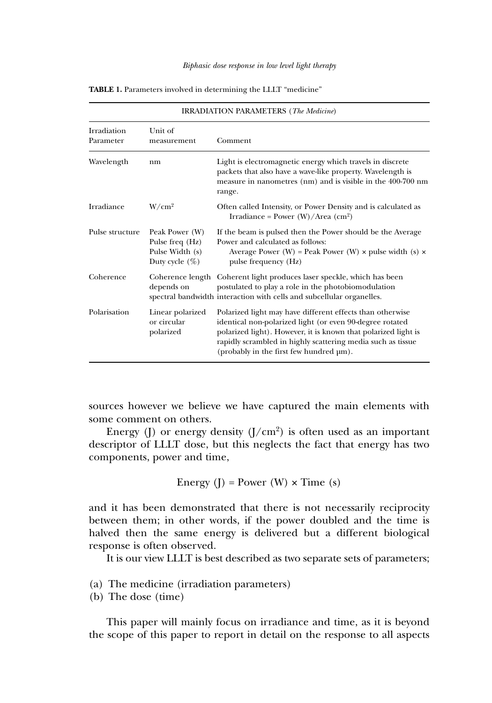| <b>IRRADIATION PARAMETERS</b> (The Medicine) |                                                                           |                                                                                                                                                                                                                                                                                                   |  |  |  |  |
|----------------------------------------------|---------------------------------------------------------------------------|---------------------------------------------------------------------------------------------------------------------------------------------------------------------------------------------------------------------------------------------------------------------------------------------------|--|--|--|--|
| <b>Irradiation</b><br>Parameter              | Unit of<br>measurement                                                    | Comment                                                                                                                                                                                                                                                                                           |  |  |  |  |
| Wavelength                                   | nm                                                                        | Light is electromagnetic energy which travels in discrete<br>packets that also have a wave-like property. Wavelength is<br>measure in nanometres (nm) and is visible in the 400-700 nm<br>range.                                                                                                  |  |  |  |  |
| Irradiance                                   | W/cm <sup>2</sup>                                                         | Often called Intensity, or Power Density and is calculated as<br>Irradiance = Power $(W)/Area$ (cm <sup>2</sup> )                                                                                                                                                                                 |  |  |  |  |
| Pulse structure                              | Peak Power (W)<br>Pulse freq (Hz)<br>Pulse Width (s)<br>Duty cycle $(\%)$ | If the beam is pulsed then the Power should be the Average<br>Power and calculated as follows:<br>Average Power (W) = Peak Power (W) $\times$ pulse width (s) $\times$<br>pulse frequency (Hz)                                                                                                    |  |  |  |  |
| Coherence                                    | depends on                                                                | Coherence length Coherent light produces laser speckle, which has been<br>postulated to play a role in the photobiomodulation<br>spectral bandwidth interaction with cells and subcellular organelles.                                                                                            |  |  |  |  |
| Polarisation                                 | Linear polarized<br>or circular<br>polarized                              | Polarized light may have different effects than otherwise<br>identical non-polarized light (or even 90-degree rotated<br>polarized light). However, it is known that polarized light is<br>rapidly scrambled in highly scattering media such as tissue<br>(probably in the first few hundred µm). |  |  |  |  |

**TABLE 1.** Parameters involved in determining the LLLT "medicine"

sources however we believe we have captured the main elements with some comment on others.

Energy (J) or energy density  $(J/cm<sup>2</sup>)$  is often used as an important descriptor of LLLT dose, but this neglects the fact that energy has two components, power and time,

Energy (J) = Power (W) 
$$
\times
$$
 Time (s)

and it has been demonstrated that there is not necessarily reciprocity between them; in other words, if the power doubled and the time is halved then the same energy is delivered but a different biological response is often observed.

It is our view LLLT is best described as two separate sets of parameters;

- (a) The medicine (irradiation parameters)
- (b) The dose (time)

This paper will mainly focus on irradiance and time, as it is beyond the scope of this paper to report in detail on the response to all aspects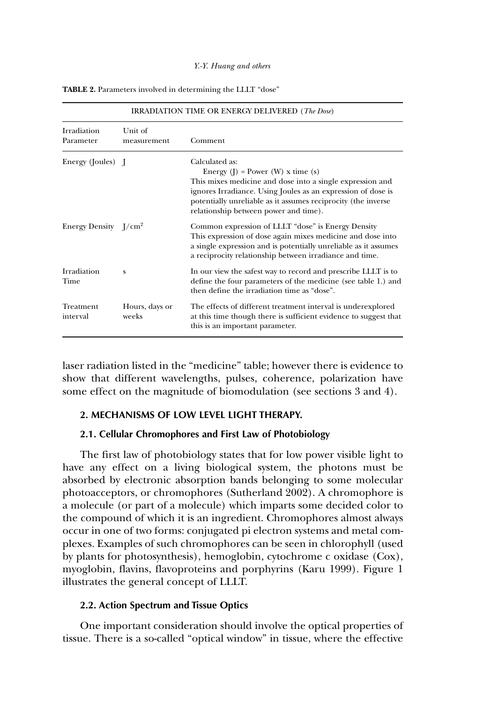| <b>IRRADIATION TIME OR ENERGY DELIVERED (The Dose)</b> |                         |                                                                                                                                                                                                                                                                                                  |  |  |  |  |
|--------------------------------------------------------|-------------------------|--------------------------------------------------------------------------------------------------------------------------------------------------------------------------------------------------------------------------------------------------------------------------------------------------|--|--|--|--|
| Irradiation<br>Parameter                               | Unit of<br>measurement  | Comment                                                                                                                                                                                                                                                                                          |  |  |  |  |
| Energy (Joules) J                                      |                         | Calculated as:<br>Energy $(I)$ = Power $(W)$ x time $(s)$<br>This mixes medicine and dose into a single expression and<br>ignores Irradiance. Using Joules as an expression of dose is<br>potentially unreliable as it assumes reciprocity (the inverse<br>relationship between power and time). |  |  |  |  |
| Energy Density $I/cm^2$                                |                         | Common expression of LLLT "dose" is Energy Density<br>This expression of dose again mixes medicine and dose into<br>a single expression and is potentially unreliable as it assumes<br>a reciprocity relationship between irradiance and time.                                                   |  |  |  |  |
| Irradiation<br>Time                                    | S                       | In our view the safest way to record and prescribe LLLT is to<br>define the four parameters of the medicine (see table 1.) and<br>then define the irradiation time as "dose".                                                                                                                    |  |  |  |  |
| Treatment<br>interval                                  | Hours, days or<br>weeks | The effects of different treatment interval is underexplored<br>at this time though there is sufficient evidence to suggest that<br>this is an important parameter.                                                                                                                              |  |  |  |  |

**TABLE 2.** Parameters involved in determining the LLLT "dose"

laser radiation listed in the "medicine" table; however there is evidence to show that different wavelengths, pulses, coherence, polarization have some effect on the magnitude of biomodulation (see sections 3 and 4).

## **2. MECHANISMS OF LOW LEVEL LIGHT THERAPY.**

#### **2.1. Cellular Chromophores and First Law of Photobiology**

The first law of photobiology states that for low power visible light to have any effect on a living biological system, the photons must be absorbed by electronic absorption bands belonging to some molecular photoacceptors, or chromophores (Sutherland 2002). A chromophore is a molecule (or part of a molecule) which imparts some decided color to the compound of which it is an ingredient. Chromophores almost always occur in one of two forms: conjugated pi electron systems and metal complexes. Examples of such chromophores can be seen in chlorophyll (used by plants for photosynthesis), hemoglobin, cytochrome c oxidase (Cox), myoglobin, flavins, flavoproteins and porphyrins (Karu 1999). Figure 1 illustrates the general concept of LLLT.

## **2.2. Action Spectrum and Tissue Optics**

One important consideration should involve the optical properties of tissue. There is a so-called "optical window" in tissue, where the effective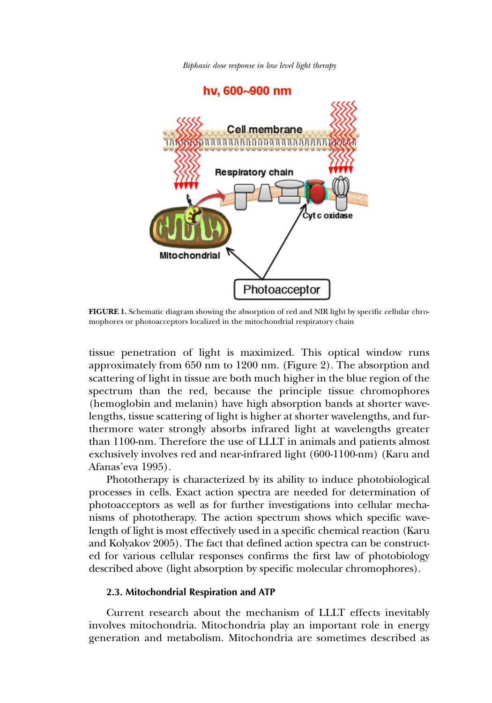*Biphasic dose response in low level light therapy*

hv. 600~900 nm Cell membrane aaaaaaaaaaaaaaaaaaa **Respiratory chain** Cyt c oxidase **Mitochondrial** Photoacceptor

**FIGURE 1.** Schematic diagram showing the absorption of red and NIR light by specific cellular chromophores or photoacceptors localized in the mitochondrial respiratory chain

tissue penetration of light is maximized. This optical window runs approximately from 650 nm to 1200 nm. (Figure 2). The absorption and scattering of light in tissue are both much higher in the blue region of the spectrum than the red, because the principle tissue chromophores (hemoglobin and melanin) have high absorption bands at shorter wavelengths, tissue scattering of light is higher at shorter wavelengths, and furthermore water strongly absorbs infrared light at wavelengths greater than 1100-nm. Therefore the use of LLLT in animals and patients almost exclusively involves red and near-infrared light (600-1100-nm) (Karu and Afanas'eva 1995).

Phototherapy is characterized by its ability to induce photobiological processes in cells. Exact action spectra are needed for determination of photoacceptors as well as for further investigations into cellular mechanisms of phototherapy. The action spectrum shows which specific wavelength of light is most effectively used in a specific chemical reaction (Karu and Kolyakov 2005). The fact that defined action spectra can be constructed for various cellular responses confirms the first law of photobiology described above (light absorption by specific molecular chromophores).

## **2.3. Mitochondrial Respiration and ATP**

Current research about the mechanism of LLLT effects inevitably involves mitochondria. Mitochondria play an important role in energy generation and metabolism. Mitochondria are sometimes described as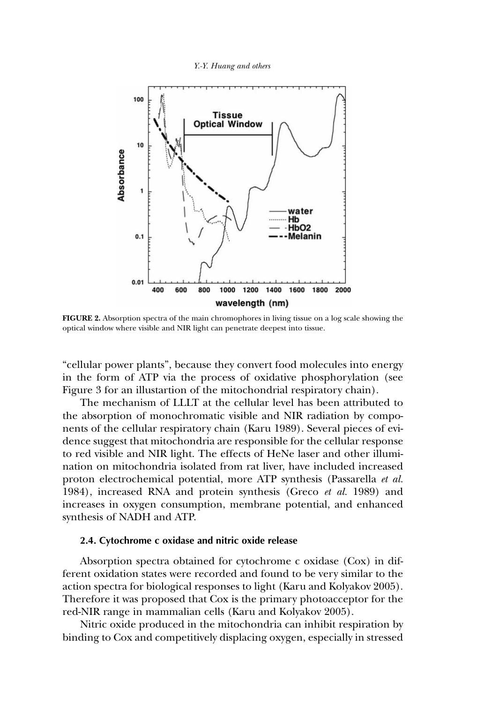*Y.-Y. Huang and others*



**FIGURE 2.** Absorption spectra of the main chromophores in living tissue on a log scale showing the optical window where visible and NIR light can penetrate deepest into tissue.

"cellular power plants", because they convert food molecules into energy in the form of ATP via the process of oxidative phosphorylation (see Figure 3 for an illustartion of the mitochondrial respiratory chain).

The mechanism of LLLT at the cellular level has been attributed to the absorption of monochromatic visible and NIR radiation by components of the cellular respiratory chain (Karu 1989). Several pieces of evidence suggest that mitochondria are responsible for the cellular response to red visible and NIR light. The effects of HeNe laser and other illumination on mitochondria isolated from rat liver, have included increased proton electrochemical potential, more ATP synthesis (Passarella *et al.* 1984), increased RNA and protein synthesis (Greco *et al.* 1989) and increases in oxygen consumption, membrane potential, and enhanced synthesis of NADH and ATP.

## **2.4. Cytochrome c oxidase and nitric oxide release**

Absorption spectra obtained for cytochrome c oxidase (Cox) in different oxidation states were recorded and found to be very similar to the action spectra for biological responses to light (Karu and Kolyakov 2005). Therefore it was proposed that Cox is the primary photoacceptor for the red-NIR range in mammalian cells (Karu and Kolyakov 2005).

Nitric oxide produced in the mitochondria can inhibit respiration by binding to Cox and competitively displacing oxygen, especially in stressed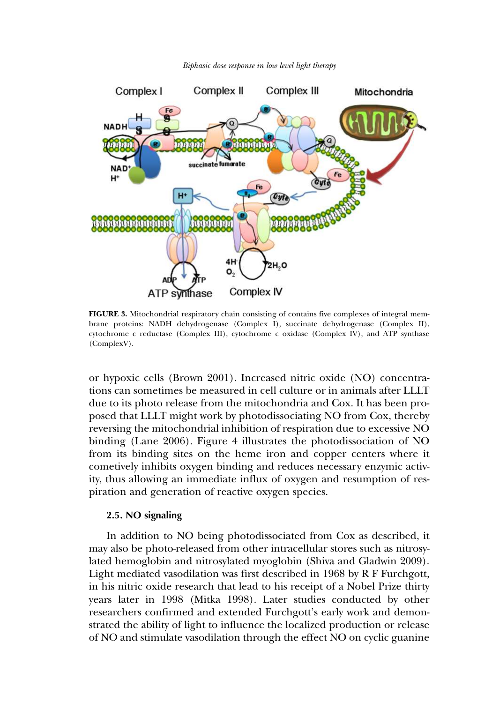

*Biphasic dose response in low level light therapy*

**FIGURE 3.** Mitochondrial respiratory chain consisting of contains five complexes of integral membrane proteins: NADH dehydrogenase (Complex I), succinate dehydrogenase (Complex II), cytochrome c reductase (Complex III), cytochrome c oxidase (Complex IV), and ATP synthase (ComplexV).

or hypoxic cells (Brown 2001). Increased nitric oxide (NO) concentrations can sometimes be measured in cell culture or in animals after LLLT due to its photo release from the mitochondria and Cox. It has been proposed that LLLT might work by photodissociating NO from Cox, thereby reversing the mitochondrial inhibition of respiration due to excessive NO binding (Lane 2006). Figure 4 illustrates the photodissociation of NO from its binding sites on the heme iron and copper centers where it cometively inhibits oxygen binding and reduces necessary enzymic activity, thus allowing an immediate influx of oxygen and resumption of respiration and generation of reactive oxygen species.

#### **2.5. NO signaling**

In addition to NO being photodissociated from Cox as described, it may also be photo-released from other intracellular stores such as nitrosylated hemoglobin and nitrosylated myoglobin (Shiva and Gladwin 2009). Light mediated vasodilation was first described in 1968 by R F Furchgott, in his nitric oxide research that lead to his receipt of a Nobel Prize thirty years later in 1998 (Mitka 1998). Later studies conducted by other researchers confirmed and extended Furchgott's early work and demonstrated the ability of light to influence the localized production or release of NO and stimulate vasodilation through the effect NO on cyclic guanine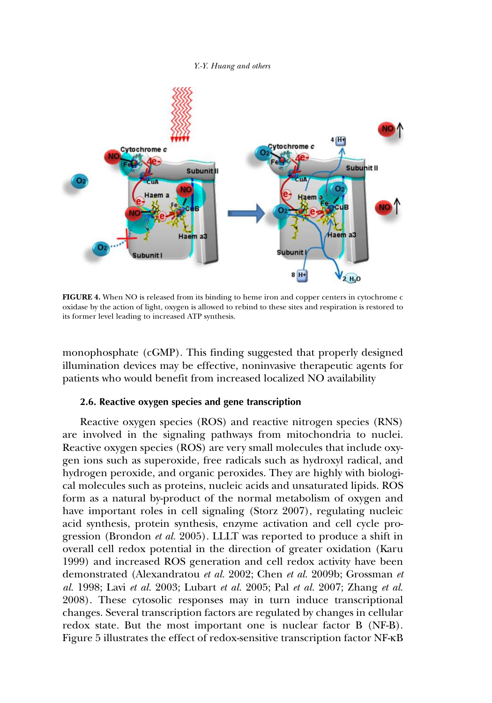

**FIGURE 4.** When NO is released from its binding to heme iron and copper centers in cytochrome c oxidase by the action of light, oxygen is allowed to rebind to these sites and respiration is restored to its former level leading to increased ATP synthesis.

monophosphate (cGMP). This finding suggested that properly designed illumination devices may be effective, noninvasive therapeutic agents for patients who would benefit from increased localized NO availability

### **2.6. Reactive oxygen species and gene transcription**

Reactive oxygen species (ROS) and reactive nitrogen species (RNS) are involved in the signaling pathways from mitochondria to nuclei. Reactive oxygen species (ROS) are very small molecules that include oxygen ions such as superoxide, free radicals such as hydroxyl radical, and hydrogen peroxide, and organic peroxides. They are highly with biological molecules such as proteins, nucleic acids and unsaturated lipids. ROS form as a natural by-product of the normal metabolism of oxygen and have important roles in cell signaling (Storz 2007), regulating nucleic acid synthesis, protein synthesis, enzyme activation and cell cycle progression (Brondon *et al.* 2005). LLLT was reported to produce a shift in overall cell redox potential in the direction of greater oxidation (Karu 1999) and increased ROS generation and cell redox activity have been demonstrated (Alexandratou *et al.* 2002; Chen *et al.* 2009b; Grossman *et al.* 1998; Lavi *et al.* 2003; Lubart *et al.* 2005; Pal *et al.* 2007; Zhang *et al.* 2008). These cytosolic responses may in turn induce transcriptional changes. Several transcription factors are regulated by changes in cellular redox state. But the most important one is nuclear factor B (NF-B). Figure 5 illustrates the effect of redox-sensitive transcription factor NF-κB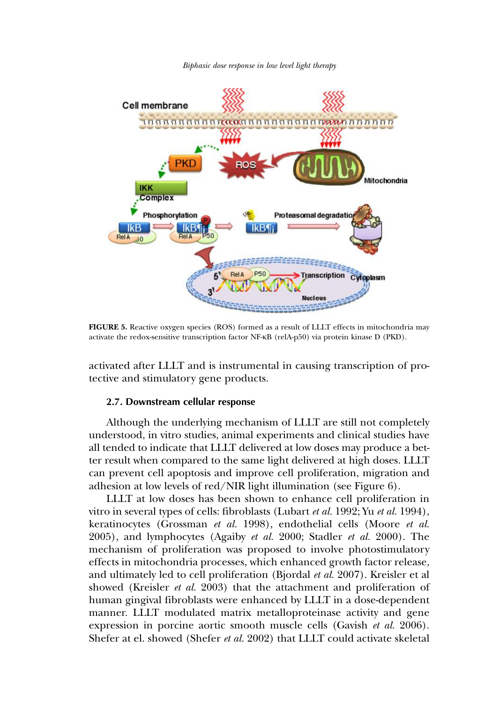



**FIGURE 5.** Reactive oxygen species (ROS) formed as a result of LLLT effects in mitochondria may activate the redox-sensitive transcription factor NF-κB (relA-p50) via protein kinase D (PKD).

activated after LLLT and is instrumental in causing transcription of protective and stimulatory gene products.

### **2.7. Downstream cellular response**

Although the underlying mechanism of LLLT are still not completely understood, in vitro studies, animal experiments and clinical studies have all tended to indicate that LLLT delivered at low doses may produce a better result when compared to the same light delivered at high doses. LLLT can prevent cell apoptosis and improve cell proliferation, migration and adhesion at low levels of red/NIR light illumination (see Figure 6).

LLLT at low doses has been shown to enhance cell proliferation in vitro in several types of cells: fibroblasts (Lubart *et al.* 1992; Yu *et al.* 1994), keratinocytes (Grossman *et al.* 1998), endothelial cells (Moore *et al.* 2005), and lymphocytes (Agaiby *et al.* 2000; Stadler *et al.* 2000). The mechanism of proliferation was proposed to involve photostimulatory effects in mitochondria processes, which enhanced growth factor release, and ultimately led to cell proliferation (Bjordal *et al.* 2007). Kreisler et al showed (Kreisler *et al.* 2003) that the attachment and proliferation of human gingival fibroblasts were enhanced by LLLT in a dose-dependent manner. LLLT modulated matrix metalloproteinase activity and gene expression in porcine aortic smooth muscle cells (Gavish *et al.* 2006). Shefer at el. showed (Shefer *et al.* 2002) that LLLT could activate skeletal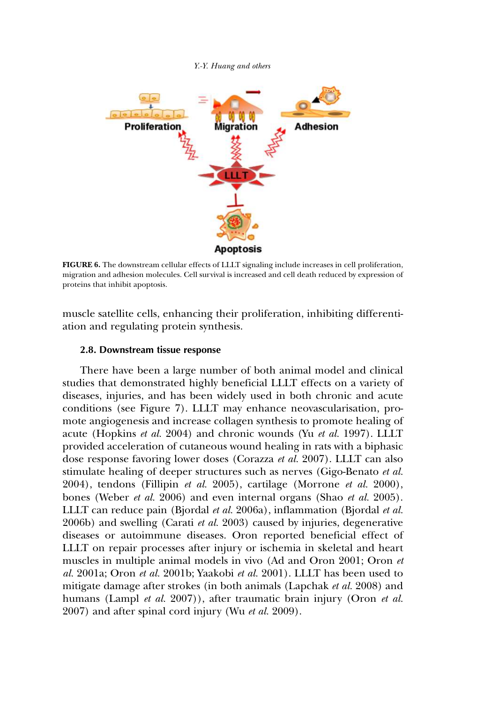

**FIGURE 6.** The downstream cellular effects of LLLT signaling include increases in cell proliferation, migration and adhesion molecules. Cell survival is increased and cell death reduced by expression of proteins that inhibit apoptosis.

muscle satellite cells, enhancing their proliferation, inhibiting differentiation and regulating protein synthesis.

## **2.8. Downstream tissue response**

There have been a large number of both animal model and clinical studies that demonstrated highly beneficial LLLT effects on a variety of diseases, injuries, and has been widely used in both chronic and acute conditions (see Figure 7). LLLT may enhance neovascularisation, promote angiogenesis and increase collagen synthesis to promote healing of acute (Hopkins *et al.* 2004) and chronic wounds (Yu *et al.* 1997). LLLT provided acceleration of cutaneous wound healing in rats with a biphasic dose response favoring lower doses (Corazza *et al.* 2007). LLLT can also stimulate healing of deeper structures such as nerves (Gigo-Benato *et al.* 2004), tendons (Fillipin *et al.* 2005), cartilage (Morrone *et al.* 2000), bones (Weber *et al.* 2006) and even internal organs (Shao *et al.* 2005). LLLT can reduce pain (Bjordal *et al.* 2006a), inflammation (Bjordal *et al.* 2006b) and swelling (Carati *et al.* 2003) caused by injuries, degenerative diseases or autoimmune diseases. Oron reported beneficial effect of LLLT on repair processes after injury or ischemia in skeletal and heart muscles in multiple animal models in vivo (Ad and Oron 2001; Oron *et al.* 2001a; Oron *et al.* 2001b; Yaakobi *et al.* 2001). LLLT has been used to mitigate damage after strokes (in both animals (Lapchak *et al.* 2008) and humans (Lampl *et al.* 2007)), after traumatic brain injury (Oron *et al.* 2007) and after spinal cord injury (Wu *et al.* 2009).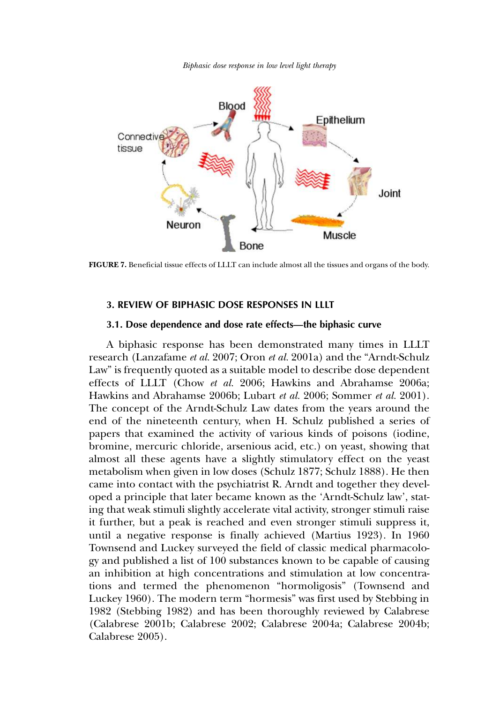*Biphasic dose response in low level light therapy*



**FIGURE 7.** Beneficial tissue effects of LLLT can include almost all the tissues and organs of the body.

### **3. REVIEW OF BIPHASIC DOSE RESPONSES IN LLLT**

### **3.1. Dose dependence and dose rate effects—the biphasic curve**

A biphasic response has been demonstrated many times in LLLT research (Lanzafame *et al.* 2007; Oron *et al.* 2001a) and the "Arndt-Schulz Law" is frequently quoted as a suitable model to describe dose dependent effects of LLLT (Chow *et al.* 2006; Hawkins and Abrahamse 2006a; Hawkins and Abrahamse 2006b; Lubart *et al.* 2006; Sommer *et al.* 2001). The concept of the Arndt-Schulz Law dates from the years around the end of the nineteenth century, when H. Schulz published a series of papers that examined the activity of various kinds of poisons (iodine, bromine, mercuric chloride, arsenious acid, etc.) on yeast, showing that almost all these agents have a slightly stimulatory effect on the yeast metabolism when given in low doses (Schulz 1877; Schulz 1888). He then came into contact with the psychiatrist R. Arndt and together they developed a principle that later became known as the 'Arndt-Schulz law', stating that weak stimuli slightly accelerate vital activity, stronger stimuli raise it further, but a peak is reached and even stronger stimuli suppress it, until a negative response is finally achieved (Martius 1923). In 1960 Townsend and Luckey surveyed the field of classic medical pharmacology and published a list of 100 substances known to be capable of causing an inhibition at high concentrations and stimulation at low concentrations and termed the phenomenon "hormoligosis" (Townsend and Luckey 1960). The modern term "hormesis" was first used by Stebbing in 1982 (Stebbing 1982) and has been thoroughly reviewed by Calabrese (Calabrese 2001b; Calabrese 2002; Calabrese 2004a; Calabrese 2004b; Calabrese 2005).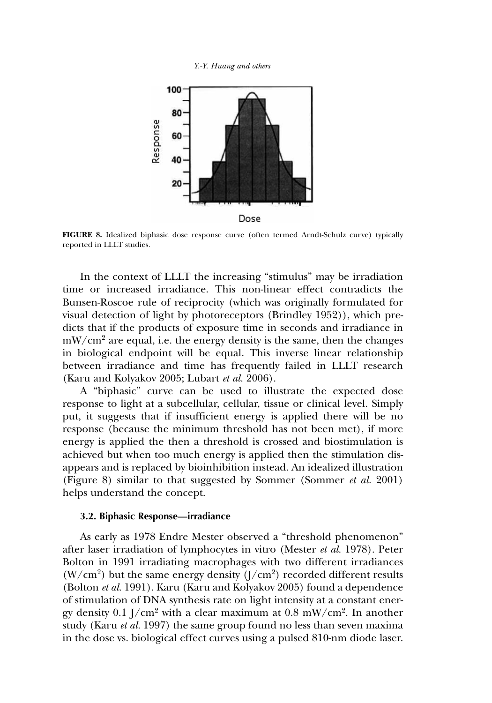*Y.-Y. Huang and others*



**FIGURE 8.** Idealized biphasic dose response curve (often termed Arndt-Schulz curve) typically reported in LLLT studies.

In the context of LLLT the increasing "stimulus" may be irradiation time or increased irradiance. This non-linear effect contradicts the Bunsen-Roscoe rule of reciprocity (which was originally formulated for visual detection of light by photoreceptors (Brindley 1952)), which predicts that if the products of exposure time in seconds and irradiance in  $mW/cm<sup>2</sup>$  are equal, i.e. the energy density is the same, then the changes in biological endpoint will be equal. This inverse linear relationship between irradiance and time has frequently failed in LLLT research (Karu and Kolyakov 2005; Lubart *et al.* 2006).

A "biphasic" curve can be used to illustrate the expected dose response to light at a subcellular, cellular, tissue or clinical level. Simply put, it suggests that if insufficient energy is applied there will be no response (because the minimum threshold has not been met), if more energy is applied the then a threshold is crossed and biostimulation is achieved but when too much energy is applied then the stimulation disappears and is replaced by bioinhibition instead. An idealized illustration (Figure 8) similar to that suggested by Sommer (Sommer *et al.* 2001) helps understand the concept.

#### **3.2. Biphasic Response—irradiance**

As early as 1978 Endre Mester observed a "threshold phenomenon" after laser irradiation of lymphocytes in vitro (Mester *et al.* 1978). Peter Bolton in 1991 irradiating macrophages with two different irradiances  $(W/cm<sup>2</sup>)$  but the same energy density  $(J/cm<sup>2</sup>)$  recorded different results (Bolton *et al.* 1991). Karu (Karu and Kolyakov 2005) found a dependence of stimulation of DNA synthesis rate on light intensity at a constant energy density  $0.1$  J/cm $^2$  with a clear maximum at  $0.8\; \rm{mW/cm^2}.$  In another study (Karu *et al.* 1997) the same group found no less than seven maxima in the dose vs. biological effect curves using a pulsed 810-nm diode laser.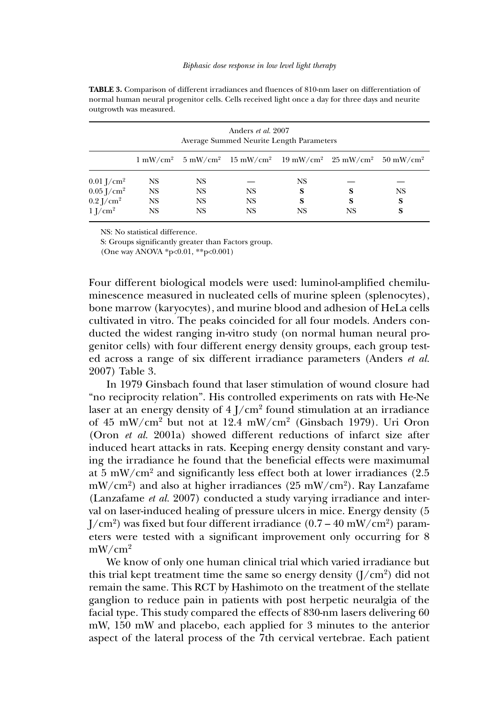| Anders <i>et al.</i> 2007<br>Average Summed Neurite Length Parameters |           |           |                                                                                                                                  |           |    |           |  |  |  |
|-----------------------------------------------------------------------|-----------|-----------|----------------------------------------------------------------------------------------------------------------------------------|-----------|----|-----------|--|--|--|
|                                                                       |           |           | $1 \text{ mW/cm}^2$ 5 mW/cm <sup>2</sup> 15 mW/cm <sup>2</sup> 19 mW/cm <sup>2</sup> 25 mW/cm <sup>2</sup> 50 mW/cm <sup>2</sup> |           |    |           |  |  |  |
| $0.01$ J/cm <sup>2</sup>                                              | <b>NS</b> | NS        |                                                                                                                                  | NS        |    |           |  |  |  |
| $0.05$ J/cm <sup>2</sup>                                              | <b>NS</b> | <b>NS</b> | <b>NS</b>                                                                                                                        | S         | S  | <b>NS</b> |  |  |  |
| $0.2$ J/cm <sup>2</sup>                                               | <b>NS</b> | <b>NS</b> | <b>NS</b>                                                                                                                        | <b>S</b>  | S  | S         |  |  |  |
| $1$ J/cm <sup>2</sup>                                                 | <b>NS</b> | <b>NS</b> | <b>NS</b>                                                                                                                        | <b>NS</b> | NS | S         |  |  |  |

**TABLE 3.** Comparison of different irradiances and fluences of 810-nm laser on differentiation of normal human neural progenitor cells. Cells received light once a day for three days and neurite outgrowth was measured.

NS: No statistical difference.

S: Groups significantly greater than Factors group.

(One way ANOVA \*p<0.01, \*\*p<0.001)

Four different biological models were used: luminol-amplified chemiluminescence measured in nucleated cells of murine spleen (splenocytes), bone marrow (karyocytes), and murine blood and adhesion of HeLa cells cultivated in vitro. The peaks coincided for all four models. Anders conducted the widest ranging in-vitro study (on normal human neural progenitor cells) with four different energy density groups, each group tested across a range of six different irradiance parameters (Anders *et al.* 2007) Table 3.

In 1979 Ginsbach found that laser stimulation of wound closure had "no reciprocity relation". His controlled experiments on rats with He-Ne laser at an energy density of  $4$  J/cm $^2$  found stimulation at an irradiance of 45 mW/cm<sup>2</sup> but not at 12.4 mW/cm<sup>2</sup> (Ginsbach 1979). Uri Oron (Oron *et al.* 2001a) showed different reductions of infarct size after induced heart attacks in rats. Keeping energy density constant and varying the irradiance he found that the beneficial effects were maximumal at 5 mW/cm<sup>2</sup> and significantly less effect both at lower irradiances (2.5 mW/cm $^2$ ) and also at higher irradiances (25 mW/cm $^2$ ). Ray Lanzafame (Lanzafame *et al.* 2007) conducted a study varying irradiance and interval on laser-induced healing of pressure ulcers in mice. Energy density (5 J/cm $^2$ ) was fixed but four different irradiance (0.7 – 40 mW/cm $^2$ ) parameters were tested with a significant improvement only occurring for 8 mW/cm<sup>2</sup>

We know of only one human clinical trial which varied irradiance but this trial kept treatment time the same so energy density  $(J/cm^2)$  did not remain the same. This RCT by Hashimoto on the treatment of the stellate ganglion to reduce pain in patients with post herpetic neuralgia of the facial type. This study compared the effects of 830-nm lasers delivering 60 mW, 150 mW and placebo, each applied for 3 minutes to the anterior aspect of the lateral process of the 7th cervical vertebrae. Each patient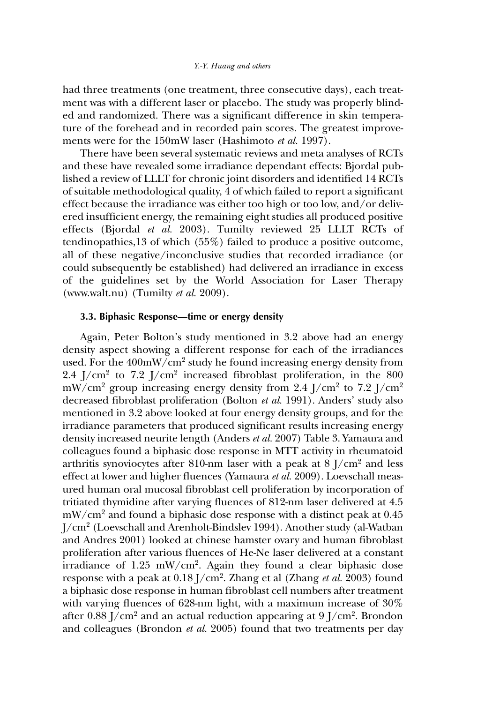had three treatments (one treatment, three consecutive days), each treatment was with a different laser or placebo. The study was properly blinded and randomized. There was a significant difference in skin temperature of the forehead and in recorded pain scores. The greatest improvements were for the 150mW laser (Hashimoto *et al.* 1997).

There have been several systematic reviews and meta analyses of RCTs and these have revealed some irradiance dependant effects: Bjordal published a review of LLLT for chronic joint disorders and identified 14 RCTs of suitable methodological quality, 4 of which failed to report a significant effect because the irradiance was either too high or too low, and/or delivered insufficient energy, the remaining eight studies all produced positive effects (Bjordal *et al.* 2003). Tumilty reviewed 25 LLLT RCTs of tendinopathies,13 of which (55%) failed to produce a positive outcome, all of these negative/inconclusive studies that recorded irradiance (or could subsequently be established) had delivered an irradiance in excess of the guidelines set by the World Association for Laser Therapy (www.walt.nu) (Tumilty *et al.* 2009).

### **3.3. Biphasic Response—time or energy density**

Again, Peter Bolton's study mentioned in 3.2 above had an energy density aspect showing a different response for each of the irradiances used. For the  $400 \text{mW/cm}^2$  study he found increasing energy density from  $2.4$  J/cm<sup>2</sup> to  $7.2$  J/cm<sup>2</sup> increased fibroblast proliferation, in the  $800$ mW/cm $^{2}$  group increasing energy density from 2.4 J/cm $^{2}$  to 7.2 J/cm $^{2}$ decreased fibroblast proliferation (Bolton *et al.* 1991). Anders' study also mentioned in 3.2 above looked at four energy density groups, and for the irradiance parameters that produced significant results increasing energy density increased neurite length (Anders *et al.* 2007) Table 3. Yamaura and colleagues found a biphasic dose response in MTT activity in rheumatoid arthritis synoviocytes after 810-nm laser with a peak at  $8$  J/cm<sup>2</sup> and less effect at lower and higher fluences (Yamaura *et al.* 2009). Loevschall measured human oral mucosal fibroblast cell proliferation by incorporation of tritiated thymidine after varying fluences of 812-nm laser delivered at 4.5  $mW/cm<sup>2</sup>$  and found a biphasic dose response with a distinct peak at 0.45 J/cm<sup>2</sup> (Loevschall and Arenholt-Bindslev 1994). Another study (al-Watban and Andres 2001) looked at chinese hamster ovary and human fibroblast proliferation after various fluences of He-Ne laser delivered at a constant irradiance of 1.25 mW/cm<sup>2</sup> . Again they found a clear biphasic dose response with a peak at 0.18 J/cm<sup>2</sup> . Zhang et al (Zhang *et al.* 2003) found a biphasic dose response in human fibroblast cell numbers after treatment with varying fluences of 628-nm light, with a maximum increase of 30% after  $0.88 \, \mathrm{J/cm^2}$  and an actual reduction appearing at  $9 \, \mathrm{J/cm^2}$ . Brondon and colleagues (Brondon *et al.* 2005) found that two treatments per day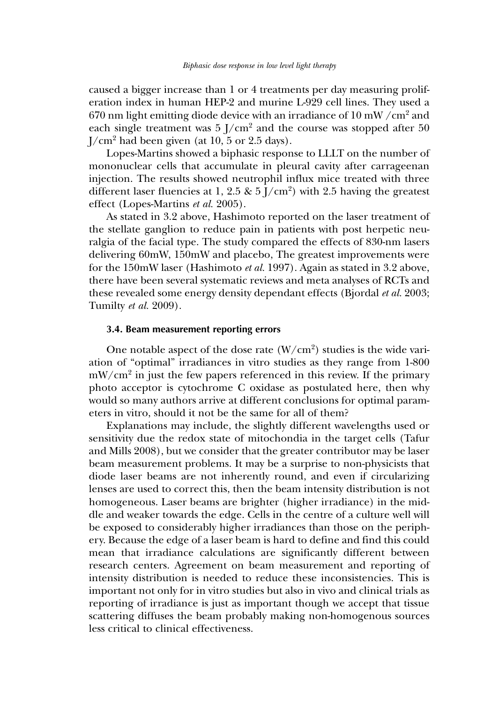caused a bigger increase than 1 or 4 treatments per day measuring proliferation index in human HEP-2 and murine L-929 cell lines. They used a 670 nm light emitting diode device with an irradiance of  $10 \text{ mW}/\text{cm}^2$  and each single treatment was  $5 \frac{\text{I}}{\text{cm}^2}$  and the course was stopped after 50  $J/cm<sup>2</sup>$  had been given (at 10, 5 or 2.5 days).

Lopes-Martins showed a biphasic response to LLLT on the number of mononuclear cells that accumulate in pleural cavity after carrageenan injection. The results showed neutrophil influx mice treated with three different laser fluencies at 1, 2.5 &  $5$  J/cm<sup>2</sup>) with 2.5 having the greatest effect (Lopes-Martins *et al.* 2005).

As stated in 3.2 above, Hashimoto reported on the laser treatment of the stellate ganglion to reduce pain in patients with post herpetic neuralgia of the facial type. The study compared the effects of 830-nm lasers delivering 60mW, 150mW and placebo, The greatest improvements were for the 150mW laser (Hashimoto *et al.* 1997). Again as stated in 3.2 above, there have been several systematic reviews and meta analyses of RCTs and these revealed some energy density dependant effects (Bjordal *et al.* 2003; Tumilty *et al.* 2009).

### **3.4. Beam measurement reporting errors**

One notable aspect of the dose rate  $(W/cm<sup>2</sup>)$  studies is the wide variation of "optimal" irradiances in vitro studies as they range from 1-800 mW/cm<sup>2</sup> in just the few papers referenced in this review. If the primary photo acceptor is cytochrome C oxidase as postulated here, then why would so many authors arrive at different conclusions for optimal parameters in vitro, should it not be the same for all of them?

Explanations may include, the slightly different wavelengths used or sensitivity due the redox state of mitochondia in the target cells (Tafur and Mills 2008), but we consider that the greater contributor may be laser beam measurement problems. It may be a surprise to non-physicists that diode laser beams are not inherently round, and even if circularizing lenses are used to correct this, then the beam intensity distribution is not homogeneous. Laser beams are brighter (higher irradiance) in the middle and weaker towards the edge. Cells in the centre of a culture well will be exposed to considerably higher irradiances than those on the periphery. Because the edge of a laser beam is hard to define and find this could mean that irradiance calculations are significantly different between research centers. Agreement on beam measurement and reporting of intensity distribution is needed to reduce these inconsistencies. This is important not only for in vitro studies but also in vivo and clinical trials as reporting of irradiance is just as important though we accept that tissue scattering diffuses the beam probably making non-homogenous sources less critical to clinical effectiveness.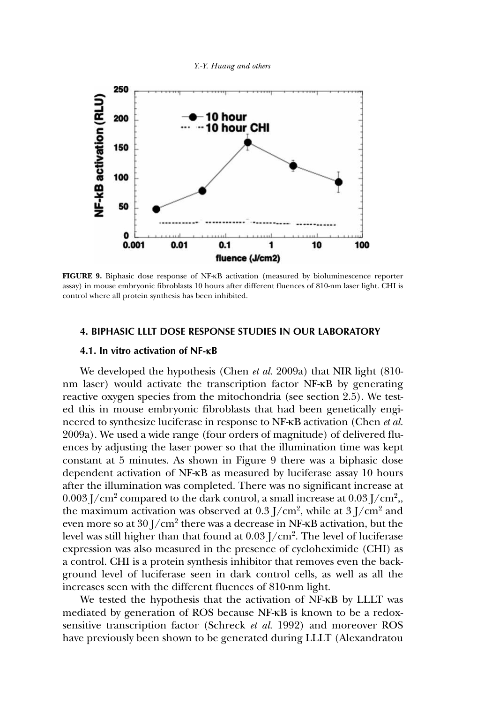



**FIGURE 9.** Biphasic dose response of NF-κB activation (measured by bioluminescence reporter assay) in mouse embryonic fibroblasts 10 hours after different fluences of 810-nm laser light. CHI is control where all protein synthesis has been inhibited.

#### **4. BIPHASIC LLLT DOSE RESPONSE STUDIES IN OUR LABORATORY**

#### **4.1. In vitro activation of NF-**κ**B**

We developed the hypothesis (Chen *et al.* 2009a) that NIR light (810 nm laser) would activate the transcription factor NF-κB by generating reactive oxygen species from the mitochondria (see section 2.5). We tested this in mouse embryonic fibroblasts that had been genetically engineered to synthesize luciferase in response to NF-κB activation (Chen *et al.* 2009a). We used a wide range (four orders of magnitude) of delivered fluences by adjusting the laser power so that the illumination time was kept constant at 5 minutes. As shown in Figure 9 there was a biphasic dose dependent activation of NF-κB as measured by luciferase assay 10 hours after the illumination was completed. There was no significant increase at  $0.003 \, \mathrm{J/cm^2}$  compared to the dark control, a small increase at  $0.03 \, \mathrm{J/cm^2}$  , the maximum activation was observed at  $0.3$  J/cm<sup>2</sup>, while at  $3$  J/cm<sup>2</sup> and even more so at  $30\:\rm J/cm^2$  there was a decrease in NF-ĸB activation, but the level was still higher than that found at  $0.03$  J/cm $^2$ . The level of luciferase expression was also measured in the presence of cycloheximide (CHI) as a control. CHI is a protein synthesis inhibitor that removes even the background level of luciferase seen in dark control cells, as well as all the increases seen with the different fluences of 810-nm light.

We tested the hypothesis that the activation of NF-κB by LLLT was mediated by generation of ROS because NF-κB is known to be a redoxsensitive transcription factor (Schreck *et al.* 1992) and moreover ROS have previously been shown to be generated during LLLT (Alexandratou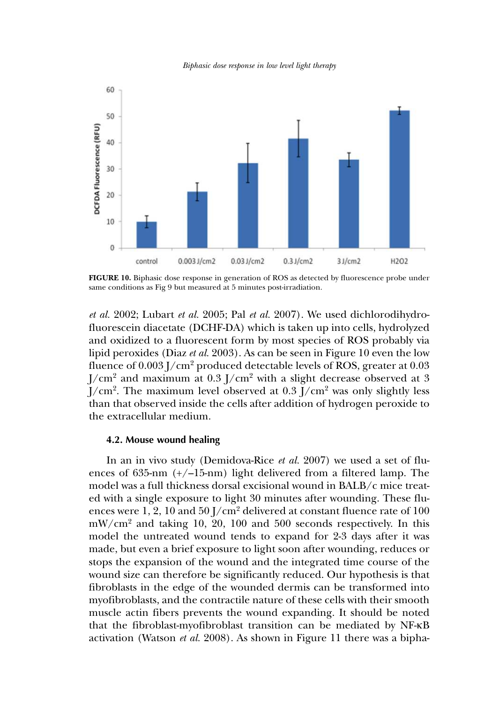*Biphasic dose response in low level light therapy*



**FIGURE 10.** Biphasic dose response in generation of ROS as detected by fluorescence probe under same conditions as Fig 9 but measured at 5 minutes post-irradiation.

*et al.* 2002; Lubart *et al.* 2005; Pal *et al.* 2007). We used dichlorodihydrofluorescein diacetate (DCHF-DA) which is taken up into cells, hydrolyzed and oxidized to a fluorescent form by most species of ROS probably via lipid peroxides (Diaz *et al.* 2003). As can be seen in Figure 10 even the low fluence of 0.003 J/cm<sup>2</sup> produced detectable levels of ROS, greater at 0.03  $J/cm<sup>2</sup>$  and maximum at 0.3  $J/cm<sup>2</sup>$  with a slight decrease observed at 3 J/cm<sup>2</sup>. The maximum level observed at  $0.3$  J/cm<sup>2</sup> was only slightly less than that observed inside the cells after addition of hydrogen peroxide to the extracellular medium.

### **4.2. Mouse wound healing**

In an in vivo study (Demidova-Rice *et al.* 2007) we used a set of fluences of 635-nm  $(+/-15$ -nm) light delivered from a filtered lamp. The model was a full thickness dorsal excisional wound in BALB/c mice treated with a single exposure to light 30 minutes after wounding. These fluences were 1, 2, 10 and 50  $1/cm<sup>2</sup>$  delivered at constant fluence rate of 100  $mW/cm<sup>2</sup>$  and taking 10, 20, 100 and 500 seconds respectively. In this model the untreated wound tends to expand for 2-3 days after it was made, but even a brief exposure to light soon after wounding, reduces or stops the expansion of the wound and the integrated time course of the wound size can therefore be significantly reduced. Our hypothesis is that fibroblasts in the edge of the wounded dermis can be transformed into myofibroblasts, and the contractile nature of these cells with their smooth muscle actin fibers prevents the wound expanding. It should be noted that the fibroblast-myofibroblast transition can be mediated by NF-κB activation (Watson *et al.* 2008). As shown in Figure 11 there was a bipha-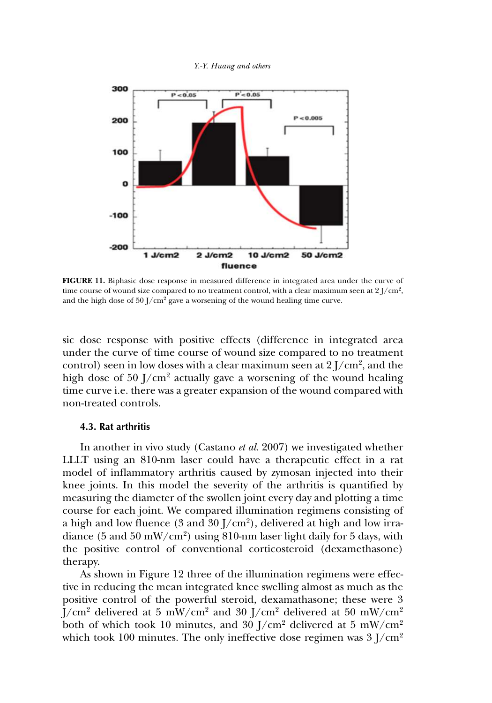



**FIGURE 11.** Biphasic dose response in measured difference in integrated area under the curve of time course of wound size compared to no treatment control, with a clear maximum seen at  $2$  J/cm<sup>2</sup>, and the high dose of  $50$  J/cm<sup>2</sup> gave a worsening of the wound healing time curve.

sic dose response with positive effects (difference in integrated area under the curve of time course of wound size compared to no treatment control) seen in low doses with a clear maximum seen at  $2$  J/cm<sup>2</sup>, and the high dose of  $50$  J/cm<sup>2</sup> actually gave a worsening of the wound healing time curve i.e. there was a greater expansion of the wound compared with non-treated controls.

## **4.3. Rat arthritis**

In another in vivo study (Castano *et al.* 2007) we investigated whether LLLT using an 810-nm laser could have a therapeutic effect in a rat model of inflammatory arthritis caused by zymosan injected into their knee joints. In this model the severity of the arthritis is quantified by measuring the diameter of the swollen joint every day and plotting a time course for each joint. We compared illumination regimens consisting of a high and low fluence (3 and 30 J/cm $^2$ ), delivered at high and low irradiance (5 and 50 mW/cm<sup>2</sup> ) using 810-nm laser light daily for 5 days, with the positive control of conventional corticosteroid (dexamethasone) therapy.

As shown in Figure 12 three of the illumination regimens were effective in reducing the mean integrated knee swelling almost as much as the positive control of the powerful steroid, dexamathasone; these were 3  $J/cm<sup>2</sup>$  delivered at 5 mW/cm<sup>2</sup> and 30  $J/cm<sup>2</sup>$  delivered at 50 mW/cm<sup>2</sup> both of which took 10 minutes, and 30  $\rm J/cm^2$  delivered at 5 mW/cm<sup>2</sup> which took 100 minutes. The only ineffective dose regimen was  $3$  J/cm<sup>2</sup>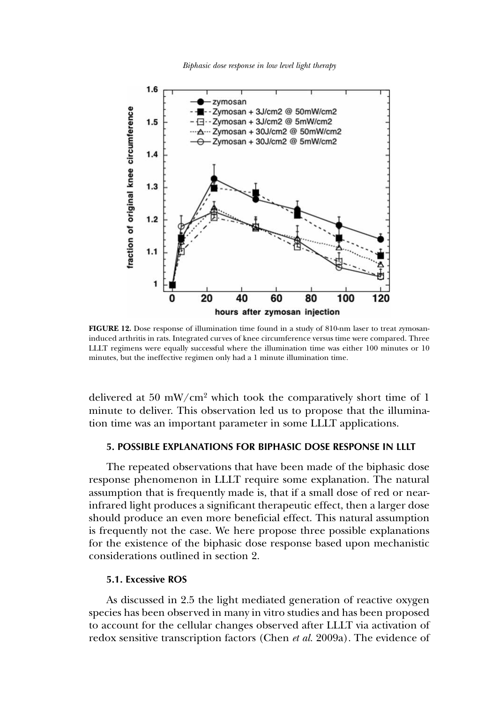*Biphasic dose response in low level light therapy*



**FIGURE 12.** Dose response of illumination time found in a study of 810-nm laser to treat zymosaninduced arthritis in rats. Integrated curves of knee circumference versus time were compared. Three LLLT regimens were equally successful where the illumination time was either 100 minutes or 10 minutes, but the ineffective regimen only had a 1 minute illumination time.

delivered at 50 mW/cm<sup>2</sup> which took the comparatively short time of 1 minute to deliver. This observation led us to propose that the illumination time was an important parameter in some LLLT applications.

## **5. POSSIBLE EXPLANATIONS FOR BIPHASIC DOSE RESPONSE IN LLLT**

The repeated observations that have been made of the biphasic dose response phenomenon in LLLT require some explanation. The natural assumption that is frequently made is, that if a small dose of red or nearinfrared light produces a significant therapeutic effect, then a larger dose should produce an even more beneficial effect. This natural assumption is frequently not the case. We here propose three possible explanations for the existence of the biphasic dose response based upon mechanistic considerations outlined in section 2.

## **5.1. Excessive ROS**

As discussed in 2.5 the light mediated generation of reactive oxygen species has been observed in many in vitro studies and has been proposed to account for the cellular changes observed after LLLT via activation of redox sensitive transcription factors (Chen *et al.* 2009a). The evidence of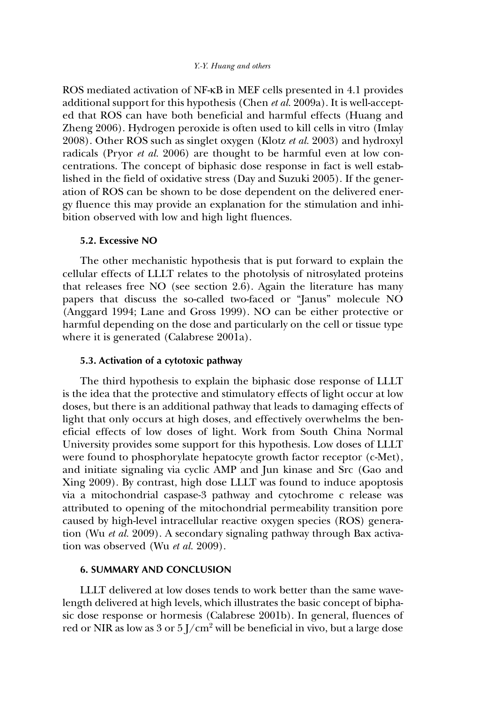ROS mediated activation of NF-κB in MEF cells presented in 4.1 provides additional support for this hypothesis (Chen *et al.* 2009a). It is well-accepted that ROS can have both beneficial and harmful effects (Huang and Zheng 2006). Hydrogen peroxide is often used to kill cells in vitro (Imlay 2008). Other ROS such as singlet oxygen (Klotz *et al.* 2003) and hydroxyl radicals (Pryor *et al.* 2006) are thought to be harmful even at low concentrations. The concept of biphasic dose response in fact is well established in the field of oxidative stress (Day and Suzuki 2005). If the generation of ROS can be shown to be dose dependent on the delivered energy fluence this may provide an explanation for the stimulation and inhibition observed with low and high light fluences.

## **5.2. Excessive NO**

The other mechanistic hypothesis that is put forward to explain the cellular effects of LLLT relates to the photolysis of nitrosylated proteins that releases free NO (see section 2.6). Again the literature has many papers that discuss the so-called two-faced or "Janus" molecule NO (Anggard 1994; Lane and Gross 1999). NO can be either protective or harmful depending on the dose and particularly on the cell or tissue type where it is generated (Calabrese 2001a).

## **5.3. Activation of a cytotoxic pathway**

The third hypothesis to explain the biphasic dose response of LLLT is the idea that the protective and stimulatory effects of light occur at low doses, but there is an additional pathway that leads to damaging effects of light that only occurs at high doses, and effectively overwhelms the beneficial effects of low doses of light. Work from South China Normal University provides some support for this hypothesis. Low doses of LLLT were found to phosphorylate hepatocyte growth factor receptor (c-Met), and initiate signaling via cyclic AMP and Jun kinase and Src (Gao and Xing 2009). By contrast, high dose LLLT was found to induce apoptosis via a mitochondrial caspase-3 pathway and cytochrome c release was attributed to opening of the mitochondrial permeability transition pore caused by high-level intracellular reactive oxygen species (ROS) generation (Wu *et al.* 2009). A secondary signaling pathway through Bax activation was observed (Wu *et al.* 2009).

#### **6. SUMMARY AND CONCLUSION**

LLLT delivered at low doses tends to work better than the same wavelength delivered at high levels, which illustrates the basic concept of biphasic dose response or hormesis (Calabrese 2001b). In general, fluences of red or NIR as low as 3 or 5  $1/cm<sup>2</sup>$  will be beneficial in vivo, but a large dose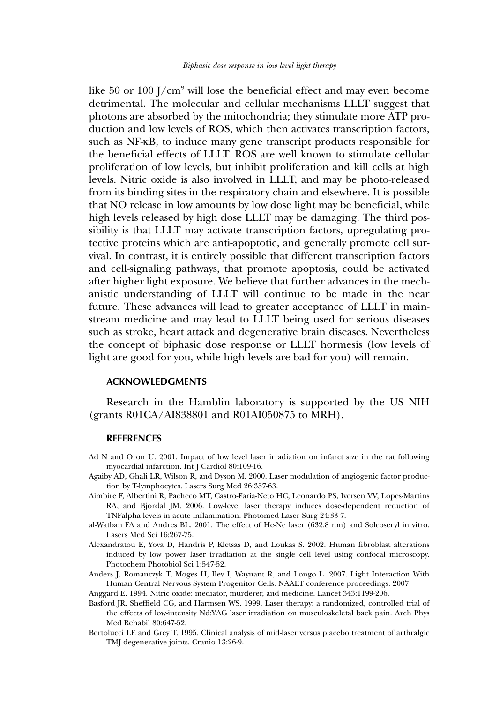like 50 or 100  $J/cm^2$  will lose the beneficial effect and may even become detrimental. The molecular and cellular mechanisms LLLT suggest that photons are absorbed by the mitochondria; they stimulate more ATP production and low levels of ROS, which then activates transcription factors, such as NF-κB, to induce many gene transcript products responsible for the beneficial effects of LLLT. ROS are well known to stimulate cellular proliferation of low levels, but inhibit proliferation and kill cells at high levels. Nitric oxide is also involved in LLLT, and may be photo-released from its binding sites in the respiratory chain and elsewhere. It is possible that NO release in low amounts by low dose light may be beneficial, while high levels released by high dose LLLT may be damaging. The third possibility is that LLLT may activate transcription factors, upregulating protective proteins which are anti-apoptotic, and generally promote cell survival. In contrast, it is entirely possible that different transcription factors and cell-signaling pathways, that promote apoptosis, could be activated after higher light exposure. We believe that further advances in the mechanistic understanding of LLLT will continue to be made in the near future. These advances will lead to greater acceptance of LLLT in mainstream medicine and may lead to LLLT being used for serious diseases such as stroke, heart attack and degenerative brain diseases. Nevertheless the concept of biphasic dose response or LLLT hormesis (low levels of light are good for you, while high levels are bad for you) will remain.

#### **ACKNOWLEDGMENTS**

Research in the Hamblin laboratory is supported by the US NIH (grants R01CA/AI838801 and R01AI050875 to MRH).

#### **REFERENCES**

- Ad N and Oron U. 2001. Impact of low level laser irradiation on infarct size in the rat following myocardial infarction. Int J Cardiol 80:109-16.
- Agaiby AD, Ghali LR, Wilson R, and Dyson M. 2000. Laser modulation of angiogenic factor production by T-lymphocytes. Lasers Surg Med 26:357-63.
- Aimbire F, Albertini R, Pacheco MT, Castro-Faria-Neto HC, Leonardo PS, Iversen VV, Lopes-Martins RA, and Bjordal JM. 2006. Low-level laser therapy induces dose-dependent reduction of TNFalpha levels in acute inflammation. Photomed Laser Surg 24:33-7.
- al-Watban FA and Andres BL. 2001. The effect of He-Ne laser (632.8 nm) and Solcoseryl in vitro. Lasers Med Sci 16:267-75.
- Alexandratou E, Yova D, Handris P, Kletsas D, and Loukas S. 2002. Human fibroblast alterations induced by low power laser irradiation at the single cell level using confocal microscopy. Photochem Photobiol Sci 1:547-52.
- Anders J, Romanczyk T, Moges H, Ilev I, Waynant R, and Longo L. 2007. Light Interaction With Human Central Nervous System Progenitor Cells. NAALT conference proceedings. 2007
- Anggard E. 1994. Nitric oxide: mediator, murderer, and medicine. Lancet 343:1199-206.
- Basford JR, Sheffield CG, and Harmsen WS. 1999. Laser therapy: a randomized, controlled trial of the effects of low-intensity Nd:YAG laser irradiation on musculoskeletal back pain. Arch Phys Med Rehabil 80:647-52.
- Bertolucci LE and Grey T. 1995. Clinical analysis of mid-laser versus placebo treatment of arthralgic TMJ degenerative joints. Cranio 13:26-9.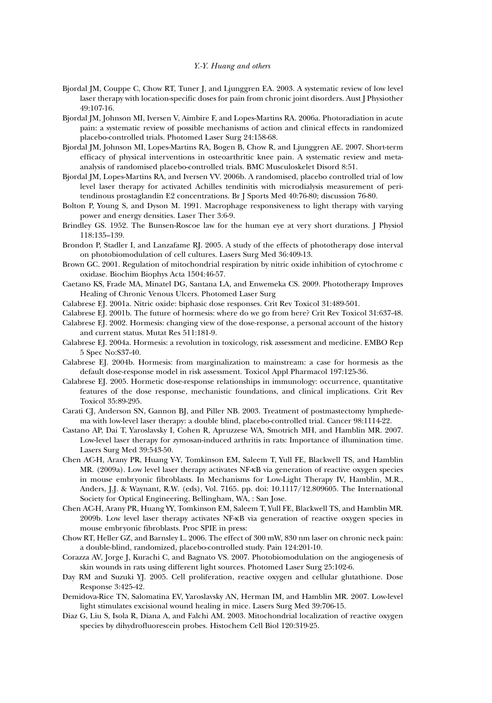- Bjordal JM, Couppe C, Chow RT, Tuner J, and Ljunggren EA. 2003. A systematic review of low level laser therapy with location-specific doses for pain from chronic joint disorders. Aust J Physiother 49:107-16.
- Bjordal JM, Johnson MI, Iversen V, Aimbire F, and Lopes-Martins RA. 2006a. Photoradiation in acute pain: a systematic review of possible mechanisms of action and clinical effects in randomized placebo-controlled trials. Photomed Laser Surg 24:158-68.
- Bjordal JM, Johnson MI, Lopes-Martins RA, Bogen B, Chow R, and Ljunggren AE. 2007. Short-term efficacy of physical interventions in osteoarthritic knee pain. A systematic review and metaanalysis of randomised placebo-controlled trials. BMC Musculoskelet Disord 8:51.
- Bjordal JM, Lopes-Martins RA, and Iversen VV. 2006b. A randomised, placebo controlled trial of low level laser therapy for activated Achilles tendinitis with microdialysis measurement of peritendinous prostaglandin E2 concentrations. Br J Sports Med 40:76-80; discussion 76-80.
- Bolton P, Young S, and Dyson M. 1991. Macrophage responsiveness to light therapy with varying power and energy densities. Laser Ther 3:6-9.
- Brindley GS. 1952. The Bunsen-Roscoe law for the human eye at very short durations. J Physiol 118:135–139.
- Brondon P, Stadler I, and Lanzafame RJ. 2005. A study of the effects of phototherapy dose interval on photobiomodulation of cell cultures. Lasers Surg Med 36:409-13.
- Brown GC. 2001. Regulation of mitochondrial respiration by nitric oxide inhibition of cytochrome c oxidase. Biochim Biophys Acta 1504:46-57.
- Caetano KS, Frade MA, Minatel DG, Santana LA, and Enwemeka CS. 2009. Phototherapy Improves Healing of Chronic Venous Ulcers. Photomed Laser Surg
- Calabrese EJ. 2001a. Nitric oxide: biphasic dose responses. Crit Rev Toxicol 31:489-501.
- Calabrese EJ. 2001b. The future of hormesis: where do we go from here? Crit Rev Toxicol 31:637-48.
- Calabrese EJ. 2002. Hormesis: changing view of the dose-response, a personal account of the history and current status. Mutat Res 511:181-9.
- Calabrese EJ. 2004a. Hormesis: a revolution in toxicology, risk assessment and medicine. EMBO Rep 5 Spec No:S37-40.
- Calabrese EJ. 2004b. Hormesis: from marginalization to mainstream: a case for hormesis as the default dose-response model in risk assessment. Toxicol Appl Pharmacol 197:125-36.
- Calabrese EJ. 2005. Hormetic dose-response relationships in immunology: occurrence, quantitative features of the dose response, mechanistic foundations, and clinical implications. Crit Rev Toxicol 35:89-295.
- Carati CJ, Anderson SN, Gannon BJ, and Piller NB. 2003. Treatment of postmastectomy lymphedema with low-level laser therapy: a double blind, placebo-controlled trial. Cancer 98:1114-22.
- Castano AP, Dai T, Yaroslavsky I, Cohen R, Apruzzese WA, Smotrich MH, and Hamblin MR. 2007. Low-level laser therapy for zymosan-induced arthritis in rats: Importance of illumination time. Lasers Surg Med 39:543-50.
- Chen AC-H, Arany PR, Huang Y-Y, Tomkinson EM, Saleem T, Yull FE, Blackwell TS, and Hamblin MR. (2009a). Low level laser therapy activates NF-κB via generation of reactive oxygen species in mouse embryonic fibroblasts. In Mechanisms for Low-Light Therapy IV, Hamblin, M.R., Anders, J.J. & Waynant, R.W. (eds), Vol. 7165. pp. doi: 10.1117/12.809605. The International Society for Optical Engineering, Bellingham, WA, : San Jose.
- Chen AC-H, Arany PR, Huang YY, Tomkinson EM, Saleem T, Yull FE, Blackwell TS, and Hamblin MR. 2009b. Low level laser therapy activates NF-κB via generation of reactive oxygen species in mouse embryonic fibroblasts. Proc SPIE in press:
- Chow RT, Heller GZ, and Barnsley L. 2006. The effect of 300 mW, 830 nm laser on chronic neck pain: a double-blind, randomized, placebo-controlled study. Pain 124:201-10.
- Corazza AV, Jorge J, Kurachi C, and Bagnato VS. 2007. Photobiomodulation on the angiogenesis of skin wounds in rats using different light sources. Photomed Laser Surg 25:102-6.
- Day RM and Suzuki YJ. 2005. Cell proliferation, reactive oxygen and cellular glutathione. Dose Response 3:425-42.
- Demidova-Rice TN, Salomatina EV, Yaroslavsky AN, Herman IM, and Hamblin MR. 2007. Low-level light stimulates excisional wound healing in mice. Lasers Surg Med 39:706-15.
- Diaz G, Liu S, Isola R, Diana A, and Falchi AM. 2003. Mitochondrial localization of reactive oxygen species by dihydrofluorescein probes. Histochem Cell Biol 120:319-25.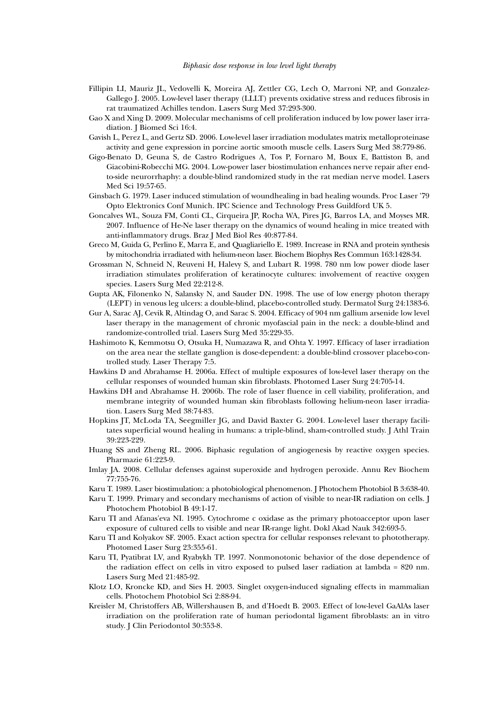- Fillipin LI, Mauriz JL, Vedovelli K, Moreira AJ, Zettler CG, Lech O, Marroni NP, and Gonzalez-Gallego J. 2005. Low-level laser therapy (LLLT) prevents oxidative stress and reduces fibrosis in rat traumatized Achilles tendon. Lasers Surg Med 37:293-300.
- Gao X and Xing D. 2009. Molecular mechanisms of cell proliferation induced by low power laser irradiation. J Biomed Sci 16:4.
- Gavish L, Perez L, and Gertz SD. 2006. Low-level laser irradiation modulates matrix metalloproteinase activity and gene expression in porcine aortic smooth muscle cells. Lasers Surg Med 38:779-86.
- Gigo-Benato D, Geuna S, de Castro Rodrigues A, Tos P, Fornaro M, Boux E, Battiston B, and Giacobini-Robecchi MG. 2004. Low-power laser biostimulation enhances nerve repair after endto-side neurorrhaphy: a double-blind randomized study in the rat median nerve model. Lasers Med Sci 19:57-65.
- Ginsbach G. 1979. Laser induced stimulation of woundhealing in bad healing wounds. Proc Laser '79 Opto Elektronics Conf Munich. IPC Science and Technology Press Guildford UK 5.
- Goncalves WL, Souza FM, Conti CL, Cirqueira JP, Rocha WA, Pires JG, Barros LA, and Moyses MR. 2007. Influence of He-Ne laser therapy on the dynamics of wound healing in mice treated with anti-inflammatory drugs. Braz J Med Biol Res 40:877-84.
- Greco M, Guida G, Perlino E, Marra E, and Quagliariello E. 1989. Increase in RNA and protein synthesis by mitochondria irradiated with helium-neon laser. Biochem Biophys Res Commun 163:1428-34.
- Grossman N, Schneid N, Reuveni H, Halevy S, and Lubart R. 1998. 780 nm low power diode laser irradiation stimulates proliferation of keratinocyte cultures: involvement of reactive oxygen species. Lasers Surg Med 22:212-8.
- Gupta AK, Filonenko N, Salansky N, and Sauder DN. 1998. The use of low energy photon therapy (LEPT) in venous leg ulcers: a double-blind, placebo-controlled study. Dermatol Surg 24:1383-6.
- Gur A, Sarac AJ, Cevik R, Altindag O, and Sarac S. 2004. Efficacy of 904 nm gallium arsenide low level laser therapy in the management of chronic myofascial pain in the neck: a double-blind and randomize-controlled trial. Lasers Surg Med 35:229-35.
- Hashimoto K, Kemmotsu O, Otsuka H, Numazawa R, and Ohta Y. 1997. Efficacy of laser irradiation on the area near the stellate ganglion is dose-dependent: a double-blind crossover placebo-controlled study. Laser Therapy 7:5.
- Hawkins D and Abrahamse H. 2006a. Effect of multiple exposures of low-level laser therapy on the cellular responses of wounded human skin fibroblasts. Photomed Laser Surg 24:705-14.
- Hawkins DH and Abrahamse H. 2006b. The role of laser fluence in cell viability, proliferation, and membrane integrity of wounded human skin fibroblasts following helium-neon laser irradiation. Lasers Surg Med 38:74-83.
- Hopkins JT, McLoda TA, Seegmiller JG, and David Baxter G. 2004. Low-level laser therapy facilitates superficial wound healing in humans: a triple-blind, sham-controlled study. J Athl Train 39:223-229.
- Huang SS and Zheng RL. 2006. Biphasic regulation of angiogenesis by reactive oxygen species. Pharmazie 61:223-9.
- Imlay JA. 2008. Cellular defenses against superoxide and hydrogen peroxide. Annu Rev Biochem 77:755-76.
- Karu T. 1989. Laser biostimulation: a photobiological phenomenon. J Photochem Photobiol B 3:638-40.
- Karu T. 1999. Primary and secondary mechanisms of action of visible to near-IR radiation on cells. J Photochem Photobiol B 49:1-17.
- Karu TI and Afanas'eva NI. 1995. Cytochrome c oxidase as the primary photoacceptor upon laser exposure of cultured cells to visible and near IR-range light. Dokl Akad Nauk 342:693-5.
- Karu TI and Kolyakov SF. 2005. Exact action spectra for cellular responses relevant to phototherapy. Photomed Laser Surg 23:355-61.
- Karu TI, Pyatibrat LV, and Ryabykh TP. 1997. Nonmonotonic behavior of the dose dependence of the radiation effect on cells in vitro exposed to pulsed laser radiation at lambda = 820 nm. Lasers Surg Med 21:485-92.
- Klotz LO, Kroncke KD, and Sies H. 2003. Singlet oxygen-induced signaling effects in mammalian cells. Photochem Photobiol Sci 2:88-94.
- Kreisler M, Christoffers AB, Willershausen B, and d'Hoedt B. 2003. Effect of low-level GaAlAs laser irradiation on the proliferation rate of human periodontal ligament fibroblasts: an in vitro study. J Clin Periodontol 30:353-8.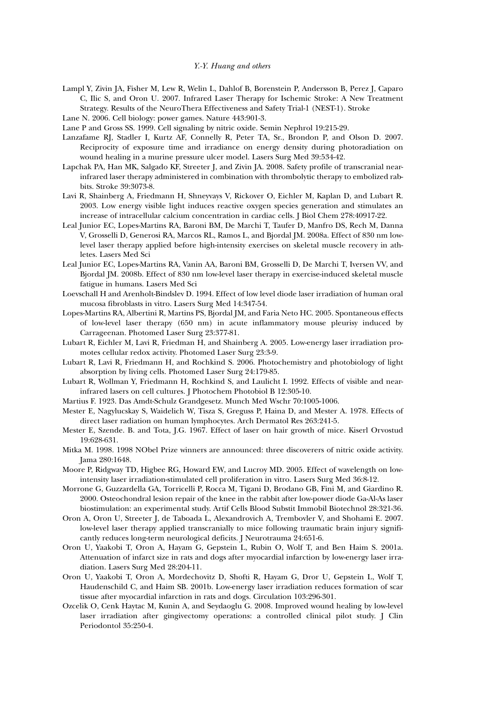- Lampl Y, Zivin JA, Fisher M, Lew R, Welin L, Dahlof B, Borenstein P, Andersson B, Perez J, Caparo C, Ilic S, and Oron U. 2007. Infrared Laser Therapy for Ischemic Stroke: A New Treatment Strategy. Results of the NeuroThera Effectiveness and Safety Trial-1 (NEST-1). Stroke
- Lane N. 2006. Cell biology: power games. Nature 443:901-3.
- Lane P and Gross SS. 1999. Cell signaling by nitric oxide. Semin Nephrol 19:215-29.
- Lanzafame RJ, Stadler I, Kurtz AF, Connelly R, Peter TA, Sr., Brondon P, and Olson D. 2007. Reciprocity of exposure time and irradiance on energy density during photoradiation on wound healing in a murine pressure ulcer model. Lasers Surg Med 39:534-42.
- Lapchak PA, Han MK, Salgado KF, Streeter J, and Zivin JA. 2008. Safety profile of transcranial nearinfrared laser therapy administered in combination with thrombolytic therapy to embolized rabbits. Stroke 39:3073-8.
- Lavi R, Shainberg A, Friedmann H, Shneyvays V, Rickover O, Eichler M, Kaplan D, and Lubart R. 2003. Low energy visible light induces reactive oxygen species generation and stimulates an increase of intracellular calcium concentration in cardiac cells. J Biol Chem 278:40917-22.
- Leal Junior EC, Lopes-Martins RA, Baroni BM, De Marchi T, Taufer D, Manfro DS, Rech M, Danna V, Grosselli D, Generosi RA, Marcos RL, Ramos L, and Bjordal JM. 2008a. Effect of 830 nm lowlevel laser therapy applied before high-intensity exercises on skeletal muscle recovery in athletes. Lasers Med Sci
- Leal Junior EC, Lopes-Martins RA, Vanin AA, Baroni BM, Grosselli D, De Marchi T, Iversen VV, and Bjordal JM. 2008b. Effect of 830 nm low-level laser therapy in exercise-induced skeletal muscle fatigue in humans. Lasers Med Sci
- Loevschall H and Arenholt-Bindslev D. 1994. Effect of low level diode laser irradiation of human oral mucosa fibroblasts in vitro. Lasers Surg Med 14:347-54.
- Lopes-Martins RA, Albertini R, Martins PS, Bjordal JM, and Faria Neto HC. 2005. Spontaneous effects of low-level laser therapy (650 nm) in acute inflammatory mouse pleurisy induced by Carrageenan. Photomed Laser Surg 23:377-81.
- Lubart R, Eichler M, Lavi R, Friedman H, and Shainberg A. 2005. Low-energy laser irradiation promotes cellular redox activity. Photomed Laser Surg 23:3-9.
- Lubart R, Lavi R, Friedmann H, and Rochkind S. 2006. Photochemistry and photobiology of light absorption by living cells. Photomed Laser Surg 24:179-85.
- Lubart R, Wollman Y, Friedmann H, Rochkind S, and Laulicht I. 1992. Effects of visible and nearinfrared lasers on cell cultures. J Photochem Photobiol B 12:305-10.
- Martius F. 1923. Das Amdt-Schulz Grandgesetz. Munch Med Wschr 70:1005-1006.
- Mester E, Nagylucskay S, Waidelich W, Tisza S, Greguss P, Haina D, and Mester A. 1978. Effects of direct laser radiation on human lymphocytes. Arch Dermatol Res 263:241-5.
- Mester E, Szende. B. and Tota, J.G. 1967. Effect of laser on hair growth of mice. Kiserl Orvostud 19:628-631.
- Mitka M. 1998. 1998 NObel Prize winners are announced: three discoverers of nitric oxide activity. Jama 280:1648.
- Moore P, Ridgway TD, Higbee RG, Howard EW, and Lucroy MD. 2005. Effect of wavelength on lowintensity laser irradiation-stimulated cell proliferation in vitro. Lasers Surg Med 36:8-12.
- Morrone G, Guzzardella GA, Torricelli P, Rocca M, Tigani D, Brodano GB, Fini M, and Giardino R. 2000. Osteochondral lesion repair of the knee in the rabbit after low-power diode Ga-Al-As laser biostimulation: an experimental study. Artif Cells Blood Substit Immobil Biotechnol 28:321-36.
- Oron A, Oron U, Streeter J, de Taboada L, Alexandrovich A, Trembovler V, and Shohami E. 2007. low-level laser therapy applied transcranially to mice following traumatic brain injury significantly reduces long-term neurological deficits. J Neurotrauma 24:651-6.
- Oron U, Yaakobi T, Oron A, Hayam G, Gepstein L, Rubin O, Wolf T, and Ben Haim S. 2001a. Attenuation of infarct size in rats and dogs after myocardial infarction by low-energy laser irradiation. Lasers Surg Med 28:204-11.
- Oron U, Yaakobi T, Oron A, Mordechovitz D, Shofti R, Hayam G, Dror U, Gepstein L, Wolf T, Haudenschild C, and Haim SB. 2001b. Low-energy laser irradiation reduces formation of scar tissue after myocardial infarction in rats and dogs. Circulation 103:296-301.
- Ozcelik O, Cenk Haytac M, Kunin A, and Seydaoglu G. 2008. Improved wound healing by low-level laser irradiation after gingivectomy operations: a controlled clinical pilot study. J Clin Periodontol 35:250-4.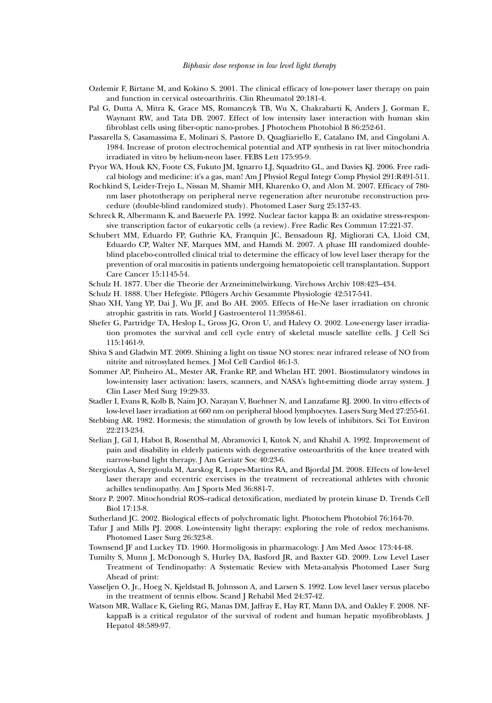#### *Biphasic dose response in low level light therapy*

- Ozdemir F, Birtane M, and Kokino S. 2001. The clinical efficacy of low-power laser therapy on pain and function in cervical osteoarthritis. Clin Rheumatol 20:181-4.
- Pal G, Dutta A, Mitra K, Grace MS, Romanczyk TB, Wu X, Chakrabarti K, Anders J, Gorman E, Waynant RW, and Tata DB. 2007. Effect of low intensity laser interaction with human skin fibroblast cells using fiber-optic nano-probes. J Photochem Photobiol B 86:252-61.
- Passarella S, Casamassima E, Molinari S, Pastore D, Quagliariello E, Catalano IM, and Cingolani A. 1984. Increase of proton electrochemical potential and ATP synthesis in rat liver mitochondria irradiated in vitro by helium-neon laser. FEBS Lett 175:95-9.
- Pryor WA, Houk KN, Foote CS, Fukuto JM, Ignarro LJ, Squadrito GL, and Davies KJ. 2006. Free radical biology and medicine: it's a gas, man! Am J Physiol Regul Integr Comp Physiol 291:R491-511.
- Rochkind S, Leider-Trejo L, Nissan M, Shamir MH, Kharenko O, and Alon M. 2007. Efficacy of 780 nm laser phototherapy on peripheral nerve regeneration after neurotube reconstruction procedure (double-blind randomized study). Photomed Laser Surg 25:137-43.
- Schreck R, Albermann K, and Baeuerle PA. 1992. Nuclear factor kappa B: an oxidative stress-responsive transcription factor of eukaryotic cells (a review). Free Radic Res Commun 17:221-37.
- Schubert MM, Eduardo FP, Guthrie KA, Franquin JC, Bensadoun RJ, Migliorati CA, Lloid CM, Eduardo CP, Walter NF, Marques MM, and Hamdi M. 2007. A phase III randomized doubleblind placebo-controlled clinical trial to determine the efficacy of low level laser therapy for the prevention of oral mucositis in patients undergoing hematopoietic cell transplantation. Support Care Cancer 15:1145-54.
- Schulz H. 1877. Uber die Theorie der Arzneimittelwirkung. Virchows Archiv 108:423--434.
- Schulz H. 1888. Uber Hefegiste. Pflügers Archiv Gesammte Physiologie 42:517-541.
- Shao XH, Yang YP, Dai J, Wu JF, and Bo AH. 2005. Effects of He-Ne laser irradiation on chronic atrophic gastritis in rats. World J Gastroenterol 11:3958-61.
- Shefer G, Partridge TA, Heslop L, Gross JG, Oron U, and Halevy O. 2002. Low-energy laser irradiation promotes the survival and cell cycle entry of skeletal muscle satellite cells. J Cell Sci 115:1461-9.
- Shiva S and Gladwin MT. 2009. Shining a light on tissue NO stores: near infrared release of NO from nitrite and nitrosylated hemes. J Mol Cell Cardiol 46:1-3.
- Sommer AP, Pinheiro AL, Mester AR, Franke RP, and Whelan HT. 2001. Biostimulatory windows in low-intensity laser activation: lasers, scanners, and NASA's light-emitting diode array system. J Clin Laser Med Surg 19:29-33.
- Stadler I, Evans R, Kolb B, Naim JO, Narayan V, Buehner N, and Lanzafame RJ. 2000. In vitro effects of low-level laser irradiation at 660 nm on peripheral blood lymphocytes. Lasers Surg Med 27:255-61.
- Stebbing AR. 1982. Hormesis; the stimulation of growth by low levels of inhibitors. Sci Tot Environ 22:213-234.
- Stelian J, Gil I, Habot B, Rosenthal M, Abramovici I, Kutok N, and Khahil A. 1992. Improvement of pain and disability in elderly patients with degenerative osteoarthritis of the knee treated with narrow-band light therapy. J Am Geriatr Soc 40:23-6.
- Stergioulas A, Stergioula M, Aarskog R, Lopes-Martins RA, and Bjordal JM. 2008. Effects of low-level laser therapy and eccentric exercises in the treatment of recreational athletes with chronic achilles tendinopathy. Am J Sports Med 36:881-7.
- Storz P. 2007. Mitochondrial ROS--radical detoxification, mediated by protein kinase D. Trends Cell Biol 17:13-8.
- Sutherland JC. 2002. Biological effects of polychromatic light. Photochem Photobiol 76:164-70.
- Tafur J and Mills PJ. 2008. Low-intensity light therapy: exploring the role of redox mechanisms. Photomed Laser Surg 26:323-8.
- Townsend JF and Luckey TD. 1960. Hormoligosis in pharmacology. J Am Med Assoc 173:44-48.
- Tumilty S, Munn J, McDonough S, Hurley DA, Basford JR, and Baxter GD. 2009. Low Level Laser Treatment of Tendinopathy: A Systematic Review with Meta-analysis Photomed Laser Surg Ahead of print:
- Vasseljen O, Jr., Hoeg N, Kjeldstad B, Johnsson A, and Larsen S. 1992. Low level laser versus placebo in the treatment of tennis elbow. Scand J Rehabil Med 24:37-42.
- Watson MR, Wallace K, Gieling RG, Manas DM, Jaffray E, Hay RT, Mann DA, and Oakley F. 2008. NFkappaB is a critical regulator of the survival of rodent and human hepatic myofibroblasts. J Hepatol 48:589-97.